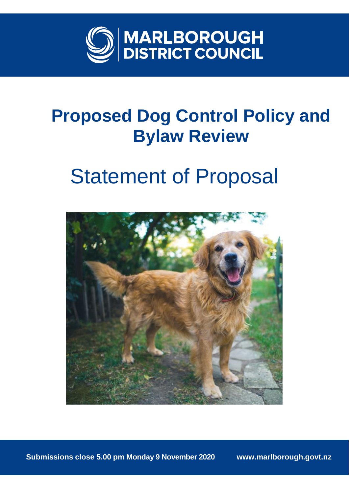

## **Proposed Dog Control Policy and Bylaw Review**

# Statement of Proposal



**Submissions close 5.00 pm Monday 9 November 2020 www.marlborough.govt.nz**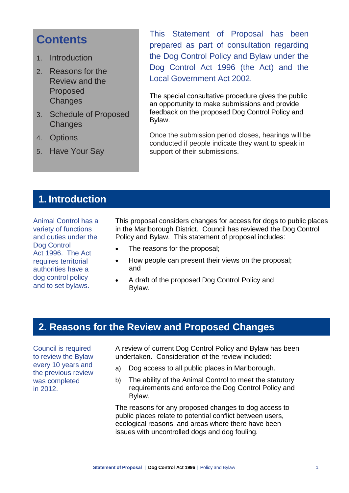## **Contents**

- 1. Introduction
- 2. Reasons for the Review and the Proposed **Changes**
- 3. Schedule of Proposed **Changes**
- 4. Options
- 5. Have Your Say

This Statement of Proposal has been prepared as part of consultation regarding the Dog Control Policy and Bylaw under the Dog Control Act 1996 (the Act) and the Local Government Act 2002.

The special consultative procedure gives the public an opportunity to make submissions and provide feedback on the proposed Dog Control Policy and Bylaw.

Once the submission period closes, hearings will be conducted if people indicate they want to speak in support of their submissions.

## **1. Introduction**

Animal Control has a variety of functions and duties under the Dog Control Act 1996. The Act requires territorial authorities have a dog control policy and to set bylaws.

This proposal considers changes for access for dogs to public places in the Marlborough District. Council has reviewed the Dog Control Policy and Bylaw. This statement of proposal includes:

- The reasons for the proposal;
- How people can present their views on the proposal; and
- A draft of the proposed Dog Control Policy and Bylaw.

## **2. Reasons for the Review and Proposed Changes**

Council is required to review the Bylaw every 10 years and the previous review was completed in 2012.

A review of current Dog Control Policy and Bylaw has been undertaken. Consideration of the review included:

- a) Dog access to all public places in Marlborough.
- b) The ability of the Animal Control to meet the statutory requirements and enforce the Dog Control Policy and Bylaw.

The reasons for any proposed changes to dog access to public places relate to potential conflict between users, ecological reasons, and areas where there have been issues with uncontrolled dogs and dog fouling.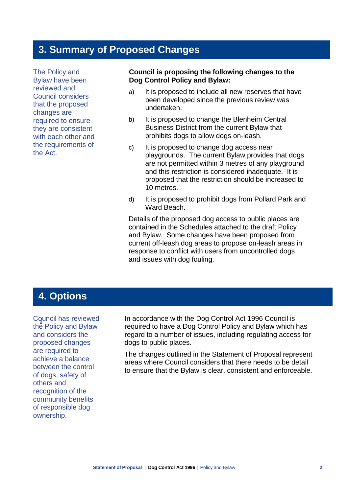## **3. Summary of Proposed Changes**

The Policy and Bylaw have been reviewed and Council considers that the proposed changes are required to ensure they are consistent with each other and the requirements of the Act.

#### **Council is proposing the following changes to the Dog Control Policy and Bylaw:**

- a) It is proposed to include all new reserves that have been developed since the previous review was undertaken.
- b) It is proposed to change the Blenheim Central Business District from the current Bylaw that prohibits dogs to allow dogs on-leash.
- c) It is proposed to change dog access near playgrounds. The current Bylaw provides that dogs are not permitted within 3 metres of any playground and this restriction is considered inadequate. It is proposed that the restriction should be increased to 10 metres.
- d) It is proposed to prohibit dogs from Pollard Park and Ward Beach.

Details of the proposed dog access to public places are contained in the Schedules attached to the draft Policy and Bylaw. Some changes have been proposed from current off-leash dog areas to propose on-leash areas in response to conflict with users from uncontrolled dogs and issues with dog fouling.

## **4. Options**

**2** the Policy and Bylaw Council has reviewed and considers the proposed changes are required to achieve a balance between the control of dogs, safety of others and recognition of the community benefits of responsible dog ownership.

In accordance with the Dog Control Act 1996 Council is required to have a Dog Control Policy and Bylaw which has regard to a number of issues, including regulating access for dogs to public places.

The changes outlined in the Statement of Proposal represent areas where Council considers that there needs to be detail to ensure that the Bylaw is clear, consistent and enforceable.